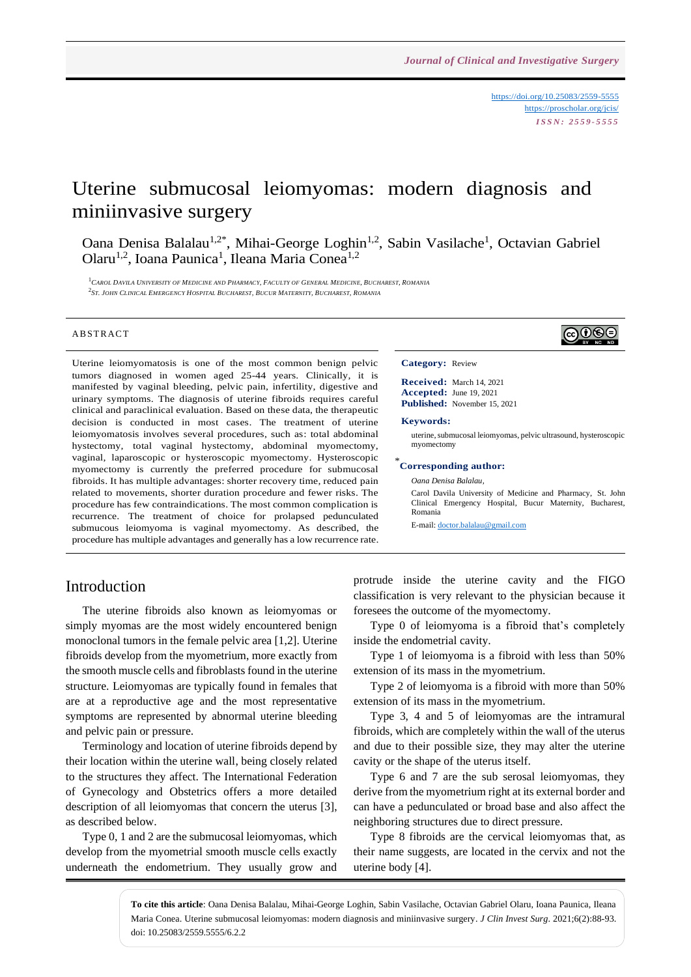<https://doi.org/10.25083/2559-5555> <https://proscholar.org/jcis/> *I S S N : 2 5 5 9 - 5 5 5 5*

# Uterine submucosal leiomyomas: modern diagnosis and miniinvasive surgery

Oana Denisa Balalau<sup>1,2\*</sup>, Mihai-George Loghin<sup>1,2</sup>, Sabin Vasilache<sup>1</sup>, Octavian Gabriel Olaru<sup>1,2</sup>, Ioana Paunica<sup>1</sup>, Ileana Maria Conea<sup>1,2</sup>

 ${}^{1}$ Carol Davila University of Medicine and Pharmacy, Faculty of General Medicine, Bucharest, Romania <sup>2</sup>St. John Clinical Emergency Hospital Bucharest, Bucur Maternity, Bucharest, Romania

#### **ABSTRACT**

Uterine leiomyomatosis is one of the most common benign pelvic tumors diagnosed in women aged 25-44 years. Clinically, it is manifested by vaginal bleeding, pelvic pain, infertility, digestive and urinary symptoms. The diagnosis of uterine fibroids requires careful clinical and paraclinical evaluation. Based on these data, the therapeutic decision is conducted in most cases. The treatment of uterine leiomyomatosis involves several procedures, such as: total abdominal hystectomy, total vaginal hystectomy, abdominal myomectomy, vaginal, laparoscopic or hysteroscopic myomectomy. Hysteroscopic myomectomy is currently the preferred procedure for submucosal fibroids. It has multiple advantages: shorter recovery time, reduced pain related to movements, shorter duration procedure and fewer risks. The procedure has few contraindications. The most common complication is recurrence. The treatment of choice for prolapsed pedunculated submucous leiomyoma is vaginal myomectomy. As described, the procedure has multiple advantages and generally has a low recurrence rate.

# $\bigcirc\hspace{-0.08cm}\bigcirc\hspace{-0.08cm}\bigcirc\hspace{-0.08cm}\bigcirc$

#### **Category:** Review

**Received:** March 14, 2021 **Accepted:** June 19, 2021 **Published:** November 15, 2021

#### **Keywords:**

uterine, submucosal leiomyomas, pelvic ultrasound, hysteroscopic myomectomy

### \* **Corresponding author:**

*Oana Denisa Balalau,*

Carol Davila University of Medicine and Pharmacy, St. John Clinical Emergency Hospital, Bucur Maternity, Bucharest, Romania

E-mail: [doctor.balalau@gmail.com](mailto:doctor.balalau@gmail.com)

### Introduction

The uterine fibroids also known as leiomyomas or simply myomas are the most widely encountered benign monoclonal tumors in the female pelvic area [1,2]. Uterine fibroids develop from the myometrium, more exactly from the smooth muscle cells and fibroblasts found in the uterine structure. Leiomyomas are typically found in females that are at a reproductive age and the most representative symptoms are represented by abnormal uterine bleeding and pelvic pain or pressure.

Terminology and location of uterine fibroids depend by their location within the uterine wall, being closely related to the structures they affect. The International Federation of Gynecology and Obstetrics offers a more detailed description of all leiomyomas that concern the uterus [3], as described below.

Type 0, 1 and 2 are the submucosal leiomyomas, which develop from the myometrial smooth muscle cells exactly underneath the endometrium. They usually grow and protrude inside the uterine cavity and the FIGO classification is very relevant to the physician because it foresees the outcome of the myomectomy.

Type 0 of leiomyoma is a fibroid that's completely inside the endometrial cavity.

Type 1 of leiomyoma is a fibroid with less than 50% extension of its mass in the myometrium.

Type 2 of leiomyoma is a fibroid with more than 50% extension of its mass in the myometrium.

Type 3, 4 and 5 of leiomyomas are the intramural fibroids, which are completely within the wall of the uterus and due to their possible size, they may alter the uterine cavity or the shape of the uterus itself.

Type 6 and 7 are the sub serosal leiomyomas, they derive from the myometrium right at its external border and can have a pedunculated or broad base and also affect the neighboring structures due to direct pressure.

Type 8 fibroids are the cervical leiomyomas that, as their name suggests, are located in the cervix and not the uterine body [4].

**To cite this article**: Oana Denisa Balalau, Mihai-George Loghin, Sabin Vasilache, Octavian Gabriel Olaru, Ioana Paunica, Ileana Maria Conea. Uterine submucosal leiomyomas: modern diagnosis and miniinvasive surgery. *J Clin Invest Surg*. 2021;6(2):88-93. doi: 10.25083/2559.5555/6.2.2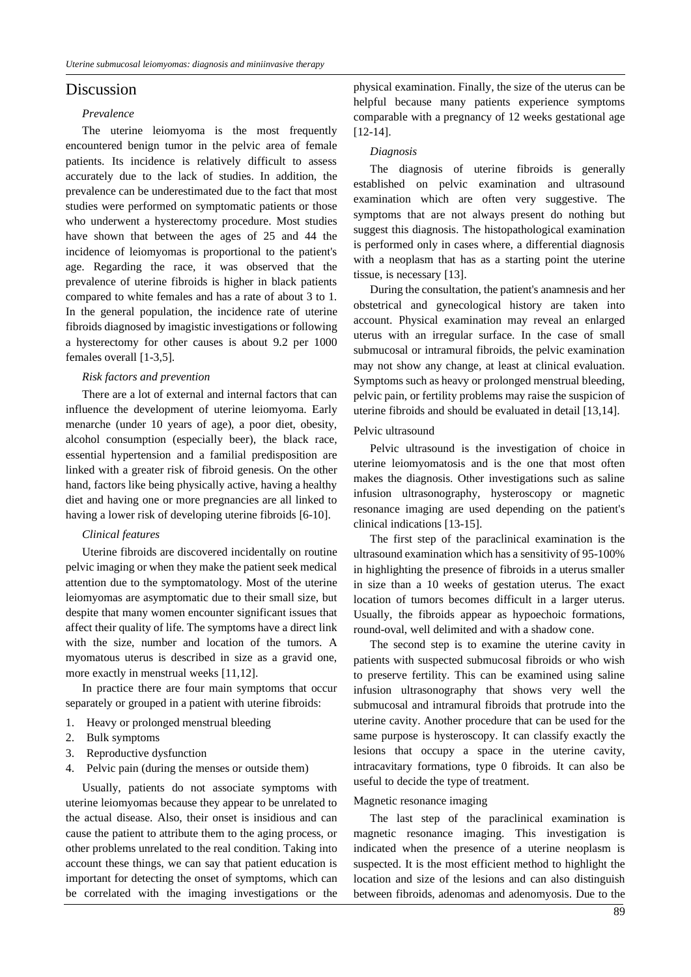# Discussion

#### *Prevalence*

The uterine leiomyoma is the most frequently encountered benign tumor in the pelvic area of female patients. Its incidence is relatively difficult to assess accurately due to the lack of studies. In addition, the prevalence can be underestimated due to the fact that most studies were performed on symptomatic patients or those who underwent a hysterectomy procedure. Most studies have shown that between the ages of 25 and 44 the incidence of leiomyomas is proportional to the patient's age. Regarding the race, it was observed that the prevalence of uterine fibroids is higher in black patients compared to white females and has a rate of about 3 to 1. In the general population, the incidence rate of uterine fibroids diagnosed by imagistic investigations or following a hysterectomy for other causes is about 9.2 per 1000 females overall [1-3,5].

#### *Risk factors and prevention*

There are a lot of external and internal factors that can influence the development of uterine leiomyoma. Early menarche (under 10 years of age), a poor diet, obesity, alcohol consumption (especially beer), the black race, essential hypertension and a familial predisposition are linked with a greater risk of fibroid genesis. On the other hand, factors like being physically active, having a healthy diet and having one or more pregnancies are all linked to having a lower risk of developing uterine fibroids [6-10].

#### *Clinical features*

Uterine fibroids are discovered incidentally on routine pelvic imaging or when they make the patient seek medical attention due to the symptomatology. Most of the uterine leiomyomas are asymptomatic due to their small size, but despite that many women encounter significant issues that affect their quality of life. The symptoms have a direct link with the size, number and location of the tumors. A myomatous uterus is described in size as a gravid one, more exactly in menstrual weeks [11,12].

In practice there are four main symptoms that occur separately or grouped in a patient with uterine fibroids:

- 1. Heavy or prolonged menstrual bleeding
- 2. Bulk symptoms
- 3. Reproductive dysfunction
- 4. Pelvic pain (during the menses or outside them)

Usually, patients do not associate symptoms with uterine leiomyomas because they appear to be unrelated to the actual disease. Also, their onset is insidious and can cause the patient to attribute them to the aging process, or other problems unrelated to the real condition. Taking into account these things, we can say that patient education is important for detecting the onset of symptoms, which can be correlated with the imaging investigations or the physical examination. Finally, the size of the uterus can be helpful because many patients experience symptoms comparable with a pregnancy of 12 weeks gestational age [12-14].

#### *Diagnosis*

The diagnosis of uterine fibroids is generally established on pelvic examination and ultrasound examination which are often very suggestive. The symptoms that are not always present do nothing but suggest this diagnosis. The histopathological examination is performed only in cases where, a differential diagnosis with a neoplasm that has as a starting point the uterine tissue, is necessary [13].

During the consultation, the patient's anamnesis and her obstetrical and gynecological history are taken into account. Physical examination may reveal an enlarged uterus with an irregular surface. In the case of small submucosal or intramural fibroids, the pelvic examination may not show any change, at least at clinical evaluation. Symptoms such as heavy or prolonged menstrual bleeding, pelvic pain, or fertility problems may raise the suspicion of uterine fibroids and should be evaluated in detail [13,14].

#### Pelvic ultrasound

Pelvic ultrasound is the investigation of choice in uterine leiomyomatosis and is the one that most often makes the diagnosis. Other investigations such as saline infusion ultrasonography, hysteroscopy or magnetic resonance imaging are used depending on the patient's clinical indications [13-15].

The first step of the paraclinical examination is the ultrasound examination which has a sensitivity of 95-100% in highlighting the presence of fibroids in a uterus smaller in size than a 10 weeks of gestation uterus. The exact location of tumors becomes difficult in a larger uterus. Usually, the fibroids appear as hypoechoic formations, round-oval, well delimited and with a shadow cone.

The second step is to examine the uterine cavity in patients with suspected submucosal fibroids or who wish to preserve fertility. This can be examined using saline infusion ultrasonography that shows very well the submucosal and intramural fibroids that protrude into the uterine cavity. Another procedure that can be used for the same purpose is hysteroscopy. It can classify exactly the lesions that occupy a space in the uterine cavity, intracavitary formations, type 0 fibroids. It can also be useful to decide the type of treatment.

#### Magnetic resonance imaging

The last step of the paraclinical examination is magnetic resonance imaging. This investigation is indicated when the presence of a uterine neoplasm is suspected. It is the most efficient method to highlight the location and size of the lesions and can also distinguish between fibroids, adenomas and adenomyosis. Due to the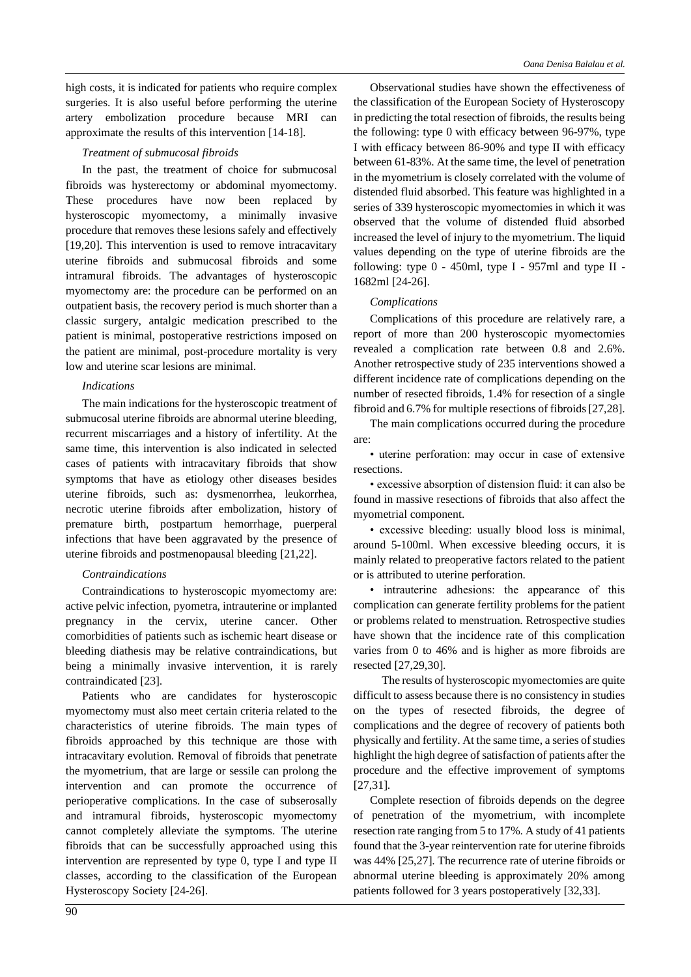high costs, it is indicated for patients who require complex surgeries. It is also useful before performing the uterine artery embolization procedure because MRI can approximate the results of this intervention [14-18].

### *Treatment of submucosal fibroids*

In the past, the treatment of choice for submucosal fibroids was hysterectomy or abdominal myomectomy. These procedures have now been replaced by hysteroscopic myomectomy, a minimally invasive procedure that removes these lesions safely and effectively [19,20]. This intervention is used to remove intracavitary uterine fibroids and submucosal fibroids and some intramural fibroids. The advantages of hysteroscopic myomectomy are: the procedure can be performed on an outpatient basis, the recovery period is much shorter than a classic surgery, antalgic medication prescribed to the patient is minimal, postoperative restrictions imposed on the patient are minimal, post-procedure mortality is very low and uterine scar lesions are minimal.

### *Indications*

The main indications for the hysteroscopic treatment of submucosal uterine fibroids are abnormal uterine bleeding, recurrent miscarriages and a history of infertility. At the same time, this intervention is also indicated in selected cases of patients with intracavitary fibroids that show symptoms that have as etiology other diseases besides uterine fibroids, such as: dysmenorrhea, leukorrhea, necrotic uterine fibroids after embolization, history of premature birth, postpartum hemorrhage, puerperal infections that have been aggravated by the presence of uterine fibroids and postmenopausal bleeding [21,22].

### *Contraindications*

Contraindications to hysteroscopic myomectomy are: active pelvic infection, pyometra, intrauterine or implanted pregnancy in the cervix, uterine cancer. Other comorbidities of patients such as ischemic heart disease or bleeding diathesis may be relative contraindications, but being a minimally invasive intervention, it is rarely contraindicated [23].

Patients who are candidates for hysteroscopic myomectomy must also meet certain criteria related to the characteristics of uterine fibroids. The main types of fibroids approached by this technique are those with intracavitary evolution. Removal of fibroids that penetrate the myometrium, that are large or sessile can prolong the intervention and can promote the occurrence of perioperative complications. In the case of subserosally and intramural fibroids, hysteroscopic myomectomy cannot completely alleviate the symptoms. The uterine fibroids that can be successfully approached using this intervention are represented by type 0, type I and type II classes, according to the classification of the European Hysteroscopy Society [24-26].

Observational studies have shown the effectiveness of the classification of the European Society of Hysteroscopy in predicting the total resection of fibroids, the results being the following: type 0 with efficacy between 96-97%, type I with efficacy between 86-90% and type II with efficacy between 61-83%. At the same time, the level of penetration in the myometrium is closely correlated with the volume of distended fluid absorbed. This feature was highlighted in a series of 339 hysteroscopic myomectomies in which it was observed that the volume of distended fluid absorbed increased the level of injury to the myometrium. The liquid values depending on the type of uterine fibroids are the following: type  $0 - 450$ ml, type I - 957ml and type II -1682ml [24-26].

### *Complications*

Complications of this procedure are relatively rare, a report of more than 200 hysteroscopic myomectomies revealed a complication rate between 0.8 and 2.6%. Another retrospective study of 235 interventions showed a different incidence rate of complications depending on the number of resected fibroids, 1.4% for resection of a single fibroid and 6.7% for multiple resections of fibroids [27,28].

The main complications occurred during the procedure are:

• uterine perforation: may occur in case of extensive resections.

• excessive absorption of distension fluid: it can also be found in massive resections of fibroids that also affect the myometrial component.

• excessive bleeding: usually blood loss is minimal, around 5-100ml. When excessive bleeding occurs, it is mainly related to preoperative factors related to the patient or is attributed to uterine perforation.

• intrauterine adhesions: the appearance of this complication can generate fertility problems for the patient or problems related to menstruation. Retrospective studies have shown that the incidence rate of this complication varies from 0 to 46% and is higher as more fibroids are resected [27,29,30].

 The results of hysteroscopic myomectomies are quite difficult to assess because there is no consistency in studies on the types of resected fibroids, the degree of complications and the degree of recovery of patients both physically and fertility. At the same time, a series of studies highlight the high degree of satisfaction of patients after the procedure and the effective improvement of symptoms [27,31].

Complete resection of fibroids depends on the degree of penetration of the myometrium, with incomplete resection rate ranging from 5 to 17%. A study of 41 patients found that the 3-year reintervention rate for uterine fibroids was 44% [25,27]. The recurrence rate of uterine fibroids or abnormal uterine bleeding is approximately 20% among patients followed for 3 years postoperatively [32,33].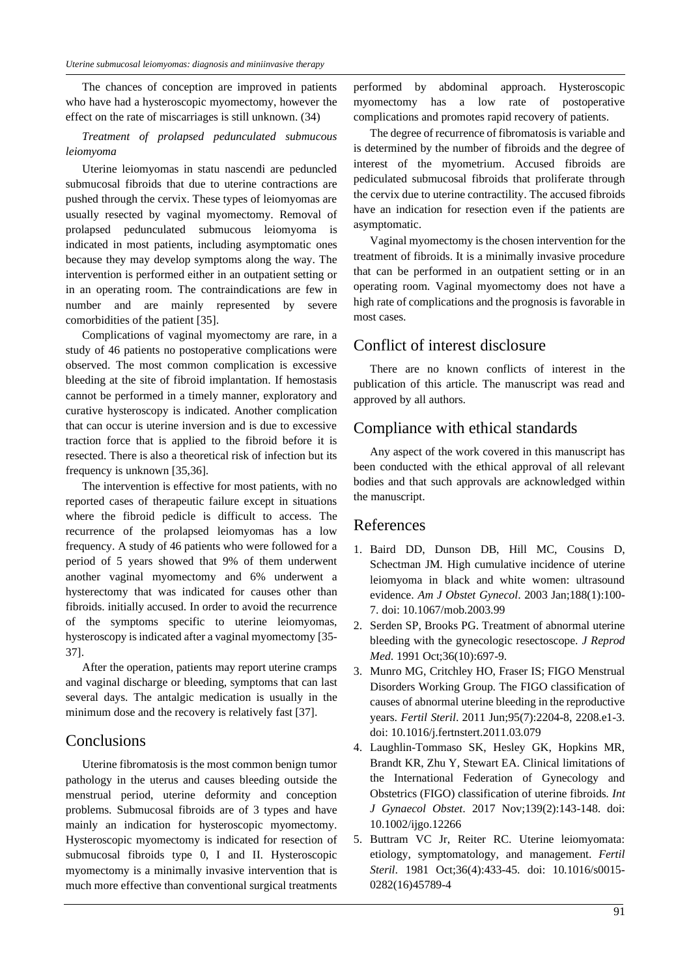The chances of conception are improved in patients who have had a hysteroscopic myomectomy, however the effect on the rate of miscarriages is still unknown. (34)

### *Treatment of prolapsed pedunculated submucous leiomyoma*

Uterine leiomyomas in statu nascendi are peduncled submucosal fibroids that due to uterine contractions are pushed through the cervix. These types of leiomyomas are usually resected by vaginal myomectomy. Removal of prolapsed pedunculated submucous leiomyoma is indicated in most patients, including asymptomatic ones because they may develop symptoms along the way. The intervention is performed either in an outpatient setting or in an operating room. The contraindications are few in number and are mainly represented by severe comorbidities of the patient [35].

Complications of vaginal myomectomy are rare, in a study of 46 patients no postoperative complications were observed. The most common complication is excessive bleeding at the site of fibroid implantation. If hemostasis cannot be performed in a timely manner, exploratory and curative hysteroscopy is indicated. Another complication that can occur is uterine inversion and is due to excessive traction force that is applied to the fibroid before it is resected. There is also a theoretical risk of infection but its frequency is unknown [35,36].

The intervention is effective for most patients, with no reported cases of therapeutic failure except in situations where the fibroid pedicle is difficult to access. The recurrence of the prolapsed leiomyomas has a low frequency. A study of 46 patients who were followed for a period of 5 years showed that 9% of them underwent another vaginal myomectomy and 6% underwent a hysterectomy that was indicated for causes other than fibroids. initially accused. In order to avoid the recurrence of the symptoms specific to uterine leiomyomas, hysteroscopy is indicated after a vaginal myomectomy [35- 37].

After the operation, patients may report uterine cramps and vaginal discharge or bleeding, symptoms that can last several days. The antalgic medication is usually in the minimum dose and the recovery is relatively fast [37].

# **Conclusions**

Uterine fibromatosis is the most common benign tumor pathology in the uterus and causes bleeding outside the menstrual period, uterine deformity and conception problems. Submucosal fibroids are of 3 types and have mainly an indication for hysteroscopic myomectomy. Hysteroscopic myomectomy is indicated for resection of submucosal fibroids type 0, I and II. Hysteroscopic myomectomy is a minimally invasive intervention that is much more effective than conventional surgical treatments

performed by abdominal approach. Hysteroscopic myomectomy has a low rate of postoperative complications and promotes rapid recovery of patients.

The degree of recurrence of fibromatosis is variable and is determined by the number of fibroids and the degree of interest of the myometrium. Accused fibroids are pediculated submucosal fibroids that proliferate through the cervix due to uterine contractility. The accused fibroids have an indication for resection even if the patients are asymptomatic.

Vaginal myomectomy is the chosen intervention for the treatment of fibroids. It is a minimally invasive procedure that can be performed in an outpatient setting or in an operating room. Vaginal myomectomy does not have a high rate of complications and the prognosis is favorable in most cases.

# Conflict of interest disclosure

There are no known conflicts of interest in the publication of this article. The manuscript was read and approved by all authors.

# Compliance with ethical standards

Any aspect of the work covered in this manuscript has been conducted with the ethical approval of all relevant bodies and that such approvals are acknowledged within the manuscript.

### References

- 1. Baird DD, Dunson DB, Hill MC, Cousins D, Schectman JM. High cumulative incidence of uterine leiomyoma in black and white women: ultrasound evidence. *Am J Obstet Gynecol*. 2003 Jan;188(1):100- 7. doi: 10.1067/mob.2003.99
- 2. Serden SP, Brooks PG. Treatment of abnormal uterine bleeding with the gynecologic resectoscope. *J Reprod Med*. 1991 Oct;36(10):697-9.
- 3. Munro MG, Critchley HO, Fraser IS; FIGO Menstrual Disorders Working Group. The FIGO classification of causes of abnormal uterine bleeding in the reproductive years. *Fertil Steril*. 2011 Jun;95(7):2204-8, 2208.e1-3. doi: 10.1016/j.fertnstert.2011.03.079
- 4. Laughlin-Tommaso SK, Hesley GK, Hopkins MR, Brandt KR, Zhu Y, Stewart EA. Clinical limitations of the International Federation of Gynecology and Obstetrics (FIGO) classification of uterine fibroids. *Int J Gynaecol Obstet*. 2017 Nov;139(2):143-148. doi: 10.1002/ijgo.12266
- 5. Buttram VC Jr, Reiter RC. Uterine leiomyomata: etiology, symptomatology, and management. *Fertil Steril*. 1981 Oct;36(4):433-45. doi: 10.1016/s0015- 0282(16)45789-4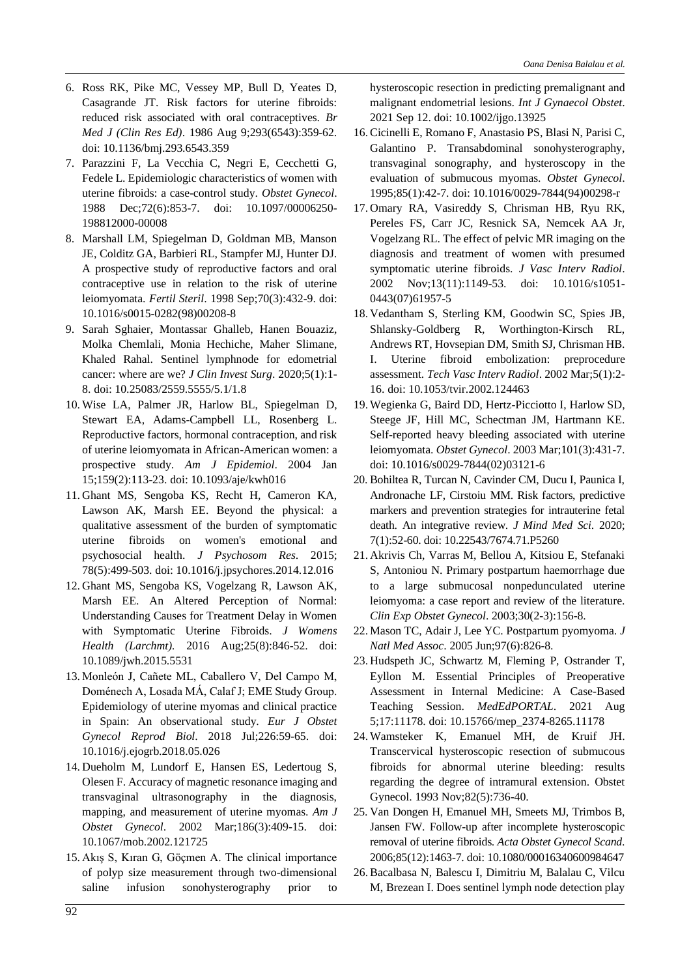- 6. Ross RK, Pike MC, Vessey MP, Bull D, Yeates D, Casagrande JT. Risk factors for uterine fibroids: reduced risk associated with oral contraceptives. *Br Med J (Clin Res Ed)*. 1986 Aug 9;293(6543):359-62. doi: 10.1136/bmj.293.6543.359
- 7. Parazzini F, La Vecchia C, Negri E, Cecchetti G, Fedele L. Epidemiologic characteristics of women with uterine fibroids: a case-control study. *Obstet Gynecol*. 1988 Dec;72(6):853-7. doi: 10.1097/00006250- 198812000-00008
- 8. Marshall LM, Spiegelman D, Goldman MB, Manson JE, Colditz GA, Barbieri RL, Stampfer MJ, Hunter DJ. A prospective study of reproductive factors and oral contraceptive use in relation to the risk of uterine leiomyomata. *Fertil Steril*. 1998 Sep;70(3):432-9. doi: 10.1016/s0015-0282(98)00208-8
- 9. Sarah Sghaier, Montassar Ghalleb, Hanen Bouaziz, Molka Chemlali, Monia Hechiche, Maher Slimane, Khaled Rahal. Sentinel lymphnode for edometrial cancer: where are we? *J Clin Invest Surg*. 2020;5(1):1- 8. doi: 10.25083/2559.5555/5.1/1.8
- 10. Wise LA, Palmer JR, Harlow BL, Spiegelman D, Stewart EA, Adams-Campbell LL, Rosenberg L. Reproductive factors, hormonal contraception, and risk of uterine leiomyomata in African-American women: a prospective study. *Am J Epidemiol*. 2004 Jan 15;159(2):113-23. doi: 10.1093/aje/kwh016
- 11. Ghant MS, Sengoba KS, Recht H, Cameron KA, Lawson AK, Marsh EE. Beyond the physical: a qualitative assessment of the burden of symptomatic uterine fibroids on women's emotional and psychosocial health. *J Psychosom Res*. 2015; 78(5):499-503. doi: 10.1016/j.jpsychores.2014.12.016
- 12. Ghant MS, Sengoba KS, Vogelzang R, Lawson AK, Marsh EE. An Altered Perception of Normal: Understanding Causes for Treatment Delay in Women with Symptomatic Uterine Fibroids. *J Womens Health (Larchmt).* 2016 Aug;25(8):846-52. doi: 10.1089/jwh.2015.5531
- 13. Monleón J, Cañete ML, Caballero V, Del Campo M, Doménech A, Losada MÁ, Calaf J; EME Study Group. Epidemiology of uterine myomas and clinical practice in Spain: An observational study. *Eur J Obstet Gynecol Reprod Biol*. 2018 Jul;226:59-65. doi: 10.1016/j.ejogrb.2018.05.026
- 14. Dueholm M, Lundorf E, Hansen ES, Ledertoug S, Olesen F. Accuracy of magnetic resonance imaging and transvaginal ultrasonography in the diagnosis, mapping, and measurement of uterine myomas. *Am J Obstet Gynecol*. 2002 Mar;186(3):409-15. doi: 10.1067/mob.2002.121725
- 15. Akış S, Kıran G, Göçmen A. The clinical importance of polyp size measurement through two-dimensional saline infusion sonohysterography prior to

hysteroscopic resection in predicting premalignant and malignant endometrial lesions. *Int J Gynaecol Obstet*. 2021 Sep 12. doi: 10.1002/ijgo.13925

- 16. Cicinelli E, Romano F, Anastasio PS, Blasi N, Parisi C, Galantino P. Transabdominal sonohysterography, transvaginal sonography, and hysteroscopy in the evaluation of submucous myomas. *Obstet Gynecol*. 1995;85(1):42-7. doi: 10.1016/0029-7844(94)00298-r
- 17. Omary RA, Vasireddy S, Chrisman HB, Ryu RK, Pereles FS, Carr JC, Resnick SA, Nemcek AA Jr, Vogelzang RL. The effect of pelvic MR imaging on the diagnosis and treatment of women with presumed symptomatic uterine fibroids. *J Vasc Interv Radiol*. 2002 Nov;13(11):1149-53. doi: 10.1016/s1051- 0443(07)61957-5
- 18. Vedantham S, Sterling KM, Goodwin SC, Spies JB, Shlansky-Goldberg R, Worthington-Kirsch RL, Andrews RT, Hovsepian DM, Smith SJ, Chrisman HB. I. Uterine fibroid embolization: preprocedure assessment. *Tech Vasc Interv Radiol*. 2002 Mar;5(1):2- 16. doi: 10.1053/tvir.2002.124463
- 19. Wegienka G, Baird DD, Hertz-Picciotto I, Harlow SD, Steege JF, Hill MC, Schectman JM, Hartmann KE. Self-reported heavy bleeding associated with uterine leiomyomata. *Obstet Gynecol*. 2003 Mar;101(3):431-7. doi: 10.1016/s0029-7844(02)03121-6
- 20. Bohiltea R, Turcan N, Cavinder CM, Ducu I, Paunica I, Andronache LF, Cirstoiu MM. Risk factors, predictive markers and prevention strategies for intrauterine fetal death. An integrative review. *J Mind Med Sci*. 2020; 7(1):52-60. doi: 10.22543/7674.71.P5260
- 21. Akrivis Ch, Varras M, Bellou A, Kitsiou E, Stefanaki S, Antoniou N. Primary postpartum haemorrhage due to a large submucosal nonpedunculated uterine leiomyoma: a case report and review of the literature. *Clin Exp Obstet Gynecol*. 2003;30(2-3):156-8.
- 22. Mason TC, Adair J, Lee YC. Postpartum pyomyoma. *J Natl Med Assoc*. 2005 Jun;97(6):826-8.
- 23. Hudspeth JC, Schwartz M, Fleming P, Ostrander T, Eyllon M. Essential Principles of Preoperative Assessment in Internal Medicine: A Case-Based Teaching Session. *MedEdPORTAL*. 2021 Aug 5;17:11178. doi: 10.15766/mep\_2374-8265.11178
- 24. Wamsteker K, Emanuel MH, de Kruif JH. Transcervical hysteroscopic resection of submucous fibroids for abnormal uterine bleeding: results regarding the degree of intramural extension. Obstet Gynecol. 1993 Nov;82(5):736-40.
- 25. Van Dongen H, Emanuel MH, Smeets MJ, Trimbos B, Jansen FW. Follow-up after incomplete hysteroscopic removal of uterine fibroids. *Acta Obstet Gynecol Scand*. 2006;85(12):1463-7. doi: 10.1080/00016340600984647
- 26. Bacalbasa N, Balescu I, Dimitriu M, Balalau C, Vilcu M, Brezean I. Does sentinel lymph node detection play